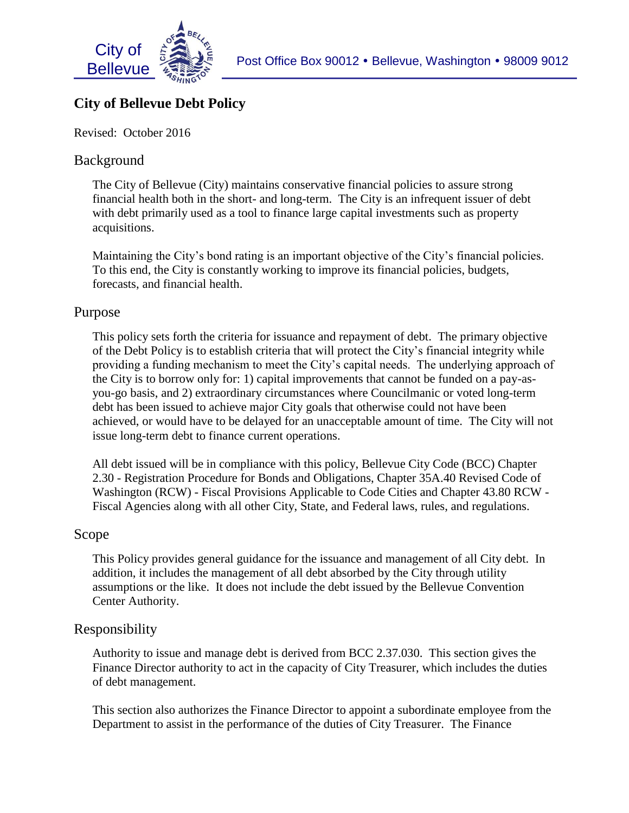

# ; **City of Bellevue Debt Policy**

Revised: October 2016

# Background

The City of Bellevue (City) maintains conservative financial policies to assure strong financial health both in the short- and long-term. The City is an infrequent issuer of debt with debt primarily used as a tool to finance large capital investments such as property acquisitions.

Maintaining the City's bond rating is an important objective of the City's financial policies. To this end, the City is constantly working to improve its financial policies, budgets, forecasts, and financial health.

# Purpose

This policy sets forth the criteria for issuance and repayment of debt. The primary objective of the Debt Policy is to establish criteria that will protect the City's financial integrity while providing a funding mechanism to meet the City's capital needs. The underlying approach of the City is to borrow only for: 1) capital improvements that cannot be funded on a pay-asyou-go basis, and 2) extraordinary circumstances where Councilmanic or voted long-term debt has been issued to achieve major City goals that otherwise could not have been achieved, or would have to be delayed for an unacceptable amount of time. The City will not issue long-term debt to finance current operations.

All debt issued will be in compliance with this policy, Bellevue City Code (BCC) Chapter 2.30 - Registration Procedure for Bonds and Obligations, Chapter 35A.40 Revised Code of Washington (RCW) - Fiscal Provisions Applicable to Code Cities and Chapter 43.80 RCW - Fiscal Agencies along with all other City, State, and Federal laws, rules, and regulations.

## Scope

This Policy provides general guidance for the issuance and management of all City debt. In addition, it includes the management of all debt absorbed by the City through utility assumptions or the like. It does not include the debt issued by the Bellevue Convention Center Authority.

# Responsibility

Authority to issue and manage debt is derived from BCC 2.37.030. This section gives the Finance Director authority to act in the capacity of City Treasurer, which includes the duties of debt management.

This section also authorizes the Finance Director to appoint a subordinate employee from the Department to assist in the performance of the duties of City Treasurer. The Finance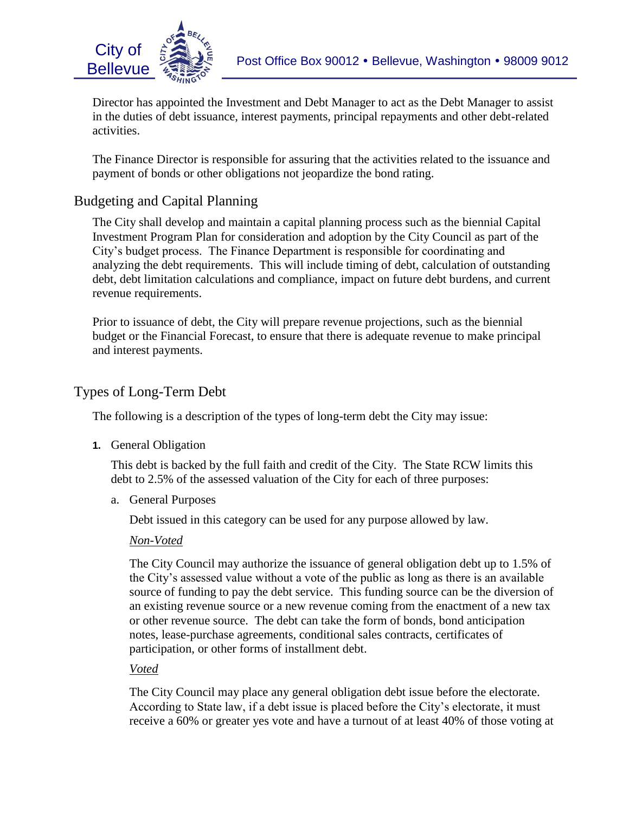



Director has appointed the Investment and Debt Manager to act as the Debt Manager to assist<br>in the detical debt investors interest assuments which is a second state of the debt which debt in the duties of debt issuance, interest payments, principal repayments and other debt-related activities.

The Finance Director is responsible for assuring that the activities related to the issuance and payment of bonds or other obligations not jeopardize the bond rating.

# Budgeting and Capital Planning

The City shall develop and maintain a capital planning process such as the biennial Capital Investment Program Plan for consideration and adoption by the City Council as part of the City's budget process. The Finance Department is responsible for coordinating and analyzing the debt requirements. This will include timing of debt, calculation of outstanding debt, debt limitation calculations and compliance, impact on future debt burdens, and current revenue requirements.

Prior to issuance of debt, the City will prepare revenue projections, such as the biennial budget or the Financial Forecast, to ensure that there is adequate revenue to make principal and interest payments.

# Types of Long-Term Debt

The following is a description of the types of long-term debt the City may issue:

**1.** General Obligation

This debt is backed by the full faith and credit of the City. The State RCW limits this debt to 2.5% of the assessed valuation of the City for each of three purposes:

a. General Purposes

Debt issued in this category can be used for any purpose allowed by law.

#### *Non-Voted*

The City Council may authorize the issuance of general obligation debt up to 1.5% of the City's assessed value without a vote of the public as long as there is an available source of funding to pay the debt service. This funding source can be the diversion of an existing revenue source or a new revenue coming from the enactment of a new tax or other revenue source. The debt can take the form of bonds, bond anticipation notes, lease-purchase agreements, conditional sales contracts, certificates of participation, or other forms of installment debt.

#### *Voted*

The City Council may place any general obligation debt issue before the electorate. According to State law, if a debt issue is placed before the City's electorate, it must receive a 60% or greater yes vote and have a turnout of at least 40% of those voting at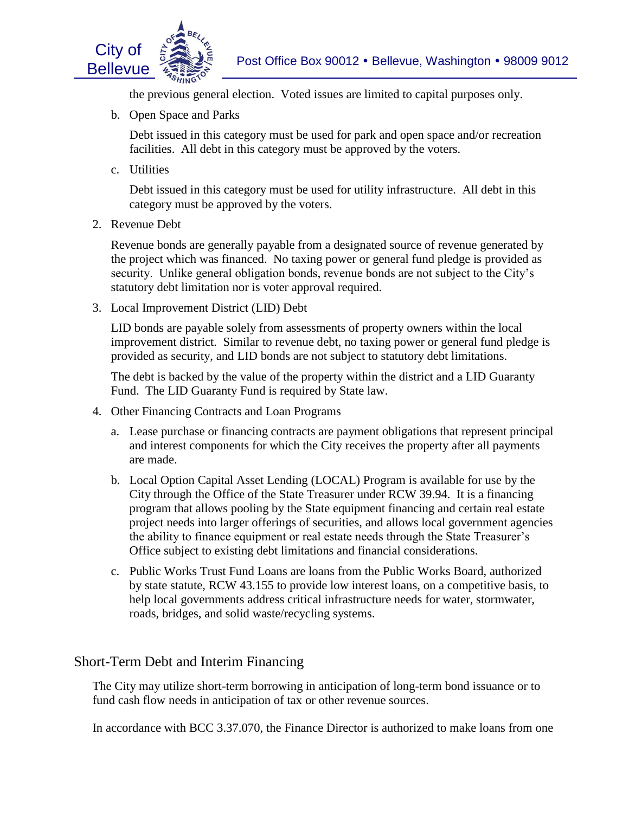

the previous general election. Voted issues are limited to capital purposes only.

b. Open Space and Parks

Debt issued in this category must be used for park and open space and/or recreation facilities. All debt in this category must be approved by the voters.

c. Utilities

Debt issued in this category must be used for utility infrastructure. All debt in this category must be approved by the voters.

2. Revenue Debt

Revenue bonds are generally payable from a designated source of revenue generated by the project which was financed. No taxing power or general fund pledge is provided as security. Unlike general obligation bonds, revenue bonds are not subject to the City's statutory debt limitation nor is voter approval required.

3. Local Improvement District (LID) Debt

LID bonds are payable solely from assessments of property owners within the local improvement district. Similar to revenue debt, no taxing power or general fund pledge is provided as security, and LID bonds are not subject to statutory debt limitations.

The debt is backed by the value of the property within the district and a LID Guaranty Fund. The LID Guaranty Fund is required by State law.

- 4. Other Financing Contracts and Loan Programs
	- a. Lease purchase or financing contracts are payment obligations that represent principal and interest components for which the City receives the property after all payments are made.
	- b. Local Option Capital Asset Lending (LOCAL) Program is available for use by the City through the Office of the State Treasurer under RCW 39.94. It is a financing program that allows pooling by the State equipment financing and certain real estate project needs into larger offerings of securities, and allows local government agencies the ability to finance equipment or real estate needs through the State Treasurer's Office subject to existing debt limitations and financial considerations.
	- c. Public Works Trust Fund Loans are loans from the Public Works Board, authorized by state statute, RCW 43.155 to provide low interest loans, on a competitive basis, to help local governments address critical infrastructure needs for water, stormwater, roads, bridges, and solid waste/recycling systems.

# Short-Term Debt and Interim Financing

The City may utilize short-term borrowing in anticipation of long-term bond issuance or to fund cash flow needs in anticipation of tax or other revenue sources.

In accordance with BCC 3.37.070, the Finance Director is authorized to make loans from one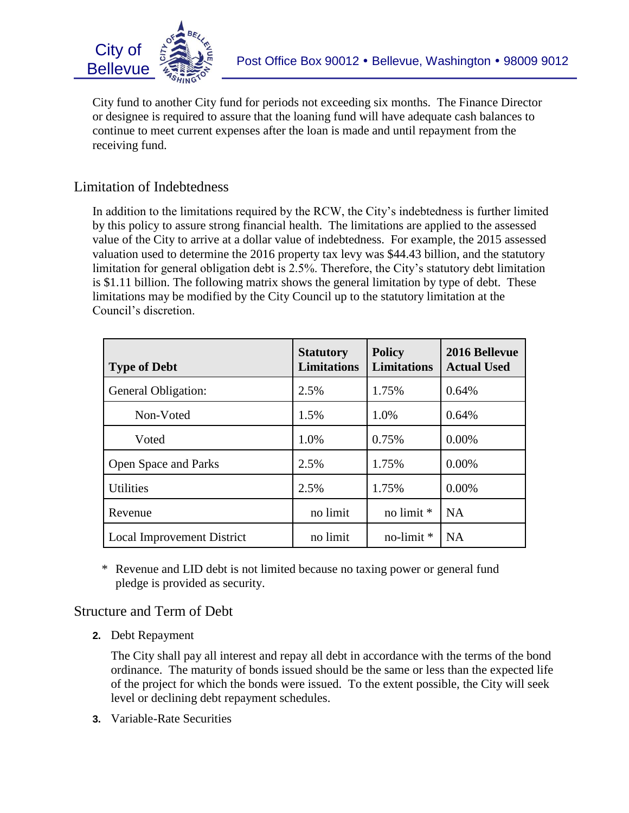

; City fund to another City fund for periods not exceeding six months. The Finance Director or designee is required to assure that the loaning fund will have adequate cash balances to continue to meet current expenses after the loan is made and until repayment from the receiving fund.

# Limitation of Indebtedness

In addition to the limitations required by the RCW, the City's indebtedness is further limited by this policy to assure strong financial health. The limitations are applied to the assessed value of the City to arrive at a dollar value of indebtedness. For example, the 2015 assessed valuation used to determine the 2016 property tax levy was \$44.43 billion, and the statutory limitation for general obligation debt is 2.5%. Therefore, the City's statutory debt limitation is \$1.11 billion. The following matrix shows the general limitation by type of debt. These limitations may be modified by the City Council up to the statutory limitation at the Council's discretion.

| <b>Type of Debt</b>         | <b>Statutory</b><br><b>Limitations</b> | <b>Policy</b><br><b>Limitations</b> | 2016 Bellevue<br><b>Actual Used</b> |
|-----------------------------|----------------------------------------|-------------------------------------|-------------------------------------|
| General Obligation:         | 2.5%                                   | 1.75%                               | 0.64%                               |
| Non-Voted                   | 1.5%                                   | 1.0%                                | 0.64%                               |
| Voted                       | 1.0%                                   | 0.75%                               | $0.00\%$                            |
| <b>Open Space and Parks</b> | 2.5%                                   | 1.75%                               | 0.00%                               |
| <b>Utilities</b>            | 2.5%                                   | 1.75%                               | 0.00%                               |
| Revenue                     | no limit                               | no limit *                          | <b>NA</b>                           |
| Local Improvement District  | no limit                               | no-limit $*$                        | <b>NA</b>                           |

\* Revenue and LID debt is not limited because no taxing power or general fund pledge is provided as security.

#### Structure and Term of Debt

**2.** Debt Repayment

The City shall pay all interest and repay all debt in accordance with the terms of the bond ordinance. The maturity of bonds issued should be the same or less than the expected life of the project for which the bonds were issued. To the extent possible, the City will seek level or declining debt repayment schedules.

**3.** Variable-Rate Securities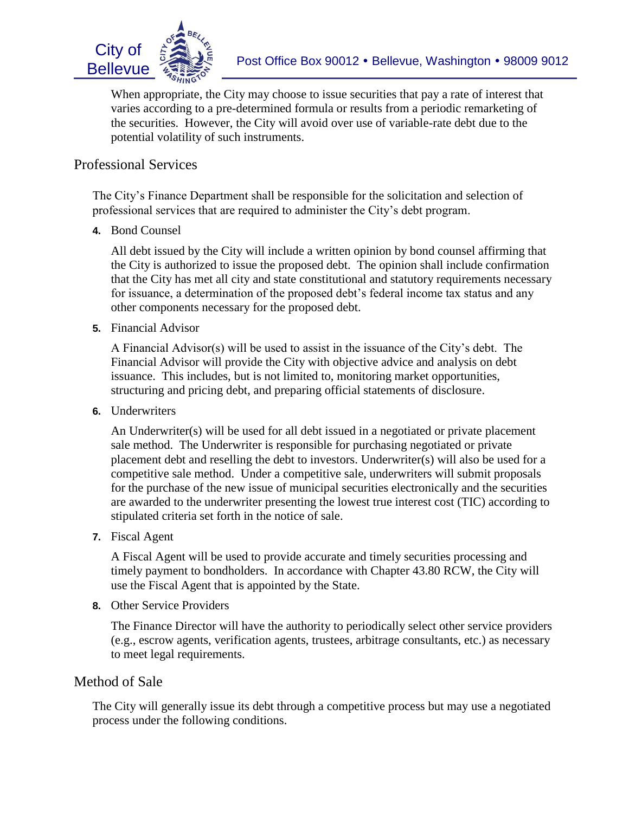

varies according to a pre-determined formula or results from a periodic remarketing of When appropriate, the City may choose to issue securities that pay a rate of interest that the securities. However, the City will avoid over use of variable-rate debt due to the potential volatility of such instruments.

## Professional Services

The City's Finance Department shall be responsible for the solicitation and selection of professional services that are required to administer the City's debt program.

**4.** Bond Counsel

All debt issued by the City will include a written opinion by bond counsel affirming that the City is authorized to issue the proposed debt. The opinion shall include confirmation that the City has met all city and state constitutional and statutory requirements necessary for issuance, a determination of the proposed debt's federal income tax status and any other components necessary for the proposed debt.

**5.** Financial Advisor

A Financial Advisor(s) will be used to assist in the issuance of the City's debt. The Financial Advisor will provide the City with objective advice and analysis on debt issuance. This includes, but is not limited to, monitoring market opportunities, structuring and pricing debt, and preparing official statements of disclosure.

**6.** Underwriters

An Underwriter(s) will be used for all debt issued in a negotiated or private placement sale method. The Underwriter is responsible for purchasing negotiated or private placement debt and reselling the debt to investors. Underwriter(s) will also be used for a competitive sale method. Under a competitive sale, underwriters will submit proposals for the purchase of the new issue of municipal securities electronically and the securities are awarded to the underwriter presenting the lowest true interest cost (TIC) according to stipulated criteria set forth in the notice of sale.

**7.** Fiscal Agent

A Fiscal Agent will be used to provide accurate and timely securities processing and timely payment to bondholders. In accordance with Chapter 43.80 RCW, the City will use the Fiscal Agent that is appointed by the State.

**8.** Other Service Providers

The Finance Director will have the authority to periodically select other service providers (e.g., escrow agents, verification agents, trustees, arbitrage consultants, etc.) as necessary to meet legal requirements.

#### Method of Sale

The City will generally issue its debt through a competitive process but may use a negotiated process under the following conditions.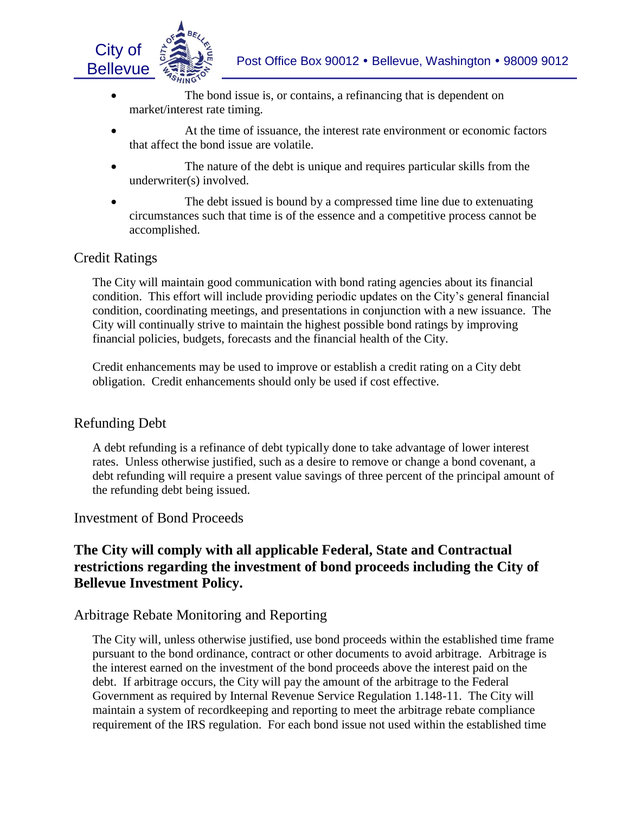

- The bond issue is, or contains, a refinancing that is dependent on market/interest rate timing.
- At the time of issuance, the interest rate environment or economic factors that affect the bond issue are volatile.
- The nature of the debt is unique and requires particular skills from the underwriter(s) involved.
- The debt issued is bound by a compressed time line due to extenuating circumstances such that time is of the essence and a competitive process cannot be accomplished.

# Credit Ratings

The City will maintain good communication with bond rating agencies about its financial condition. This effort will include providing periodic updates on the City's general financial condition, coordinating meetings, and presentations in conjunction with a new issuance. The City will continually strive to maintain the highest possible bond ratings by improving financial policies, budgets, forecasts and the financial health of the City.

Credit enhancements may be used to improve or establish a credit rating on a City debt obligation. Credit enhancements should only be used if cost effective.

#### Refunding Debt

A debt refunding is a refinance of debt typically done to take advantage of lower interest rates. Unless otherwise justified, such as a desire to remove or change a bond covenant, a debt refunding will require a present value savings of three percent of the principal amount of the refunding debt being issued.

#### Investment of Bond Proceeds

# **The City will comply with all applicable Federal, State and Contractual restrictions regarding the investment of bond proceeds including the City of Bellevue Investment Policy.**

## Arbitrage Rebate Monitoring and Reporting

The City will, unless otherwise justified, use bond proceeds within the established time frame pursuant to the bond ordinance, contract or other documents to avoid arbitrage. Arbitrage is the interest earned on the investment of the bond proceeds above the interest paid on the debt. If arbitrage occurs, the City will pay the amount of the arbitrage to the Federal Government as required by Internal Revenue Service Regulation 1.148-11. The City will maintain a system of recordkeeping and reporting to meet the arbitrage rebate compliance requirement of the IRS regulation. For each bond issue not used within the established time